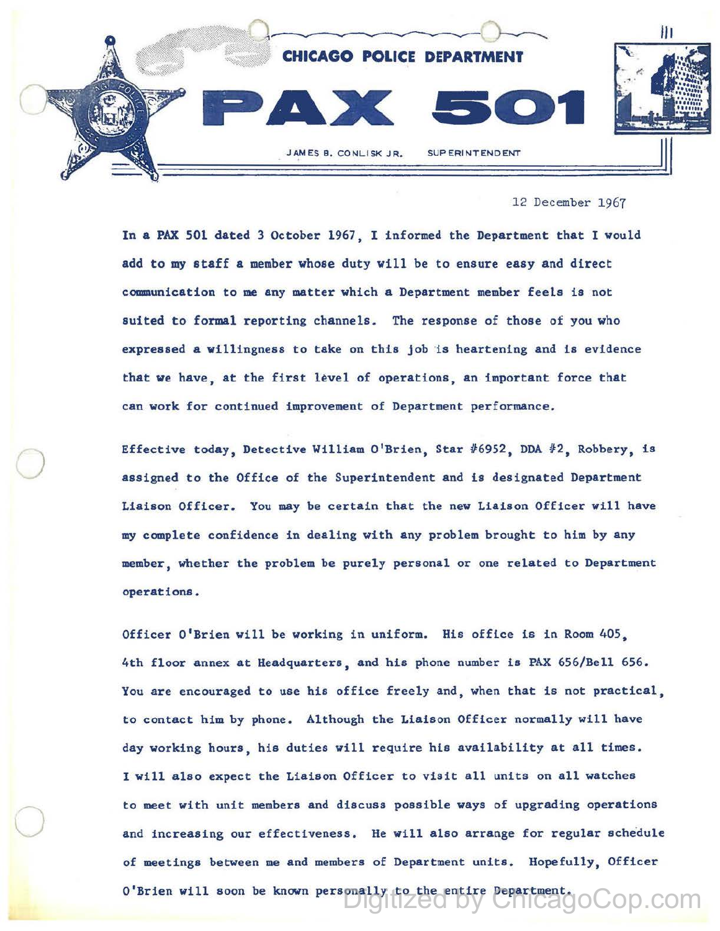

12 December 1967

In a PAX 501 dated 3 October 1967, I informed the Department that I would add to my staff a member whose duty will be to ensure easy and direct communication to me any matter which a Department member feels is not suited to formal reporting channels. The response of those of you who expressed a willingness to take on this job is heartening and is evidence that we have, at the first level of operations, an important force that can work for continued improvement of Department performance.

Effective today, Detective William O'Brien, Star #6952, DDA #2, Robbery, is assigned to the Office of the Superintendent and is designated Department Liaison Officer. You may be certain that the new Liaison Officer will have my complete confidence in dealing with any problem brought to him by any member, whether the problem be purely personal or one related to Department operations.

 $\bigcirc$ 

 $\bigcirc$ 

Officer O'Brien will be working in uniform. His office is in Room 405, 4th floor annex at Headquarters, and his phone number is PAX 656/Bell 656. You are encouraged to use his office freely and, when that is not practical, to contact him by phone. Although the Liaison Officer normally will have day working hours, his duties will require his availability at all times. I will also expect the Liaison Officer to visit all units on all watches to meet with unit members and discuss possible ways of upgrading operations and increasing our effectiveness. He will also arrange for regular schedule of meetings between me and members of Department units. Hopefully, Officer O'Brien will soon be known personally to the entire Department.<br>  $\bigcup_{n=0}^{\infty} \bigcup_{n=0}^{\infty} \bigcup_{n=0}^{\infty} \bigcup_{n=0}^{\infty} \bigcup_{n=0}^{\infty} \bigcup_{n=0}^{\infty} \bigcup_{n=0}^{\infty} \bigcup_{n=0}^{\infty} \bigcup_{n=0}^{\infty} \bigcup_{n=0}^{\infty} \bigcup_{n=0}^{\infty} \bigcup_{n=0}^{\infty}$